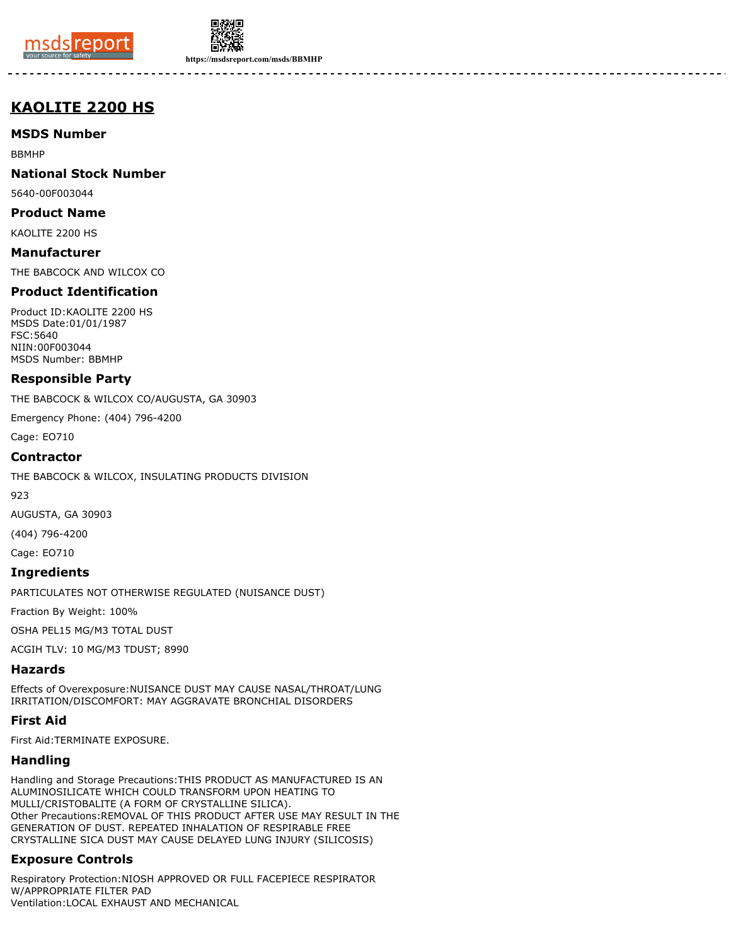



**https://msdsreport.com/msds/BBMHP**

# **KAOLITE 2200 HS**

**MSDS Number**

BBMHP

**National Stock Number**

5640-00F003044

**Product Name**

KAOLITE 2200 HS

**Manufacturer** THE BABCOCK AND WILCOX CO

## **Product Identification**

Product ID:KAOLITE 2200 HS MSDS Date:01/01/1987 FSC:5640 NIIN:00F003044 MSDS Number: BBMHP

#### **Responsible Party**

THE BABCOCK & WILCOX CO/AUGUSTA, GA 30903

Emergency Phone: (404) 796-4200

Cage: EO710

#### **Contractor**

THE BABCOCK & WILCOX, INSULATING PRODUCTS DIVISION

923

AUGUSTA, GA 30903

(404) 796-4200

Cage: EO710

#### **Ingredients**

PARTICULATES NOT OTHERWISE REGULATED (NUISANCE DUST)

Fraction By Weight: 100%

OSHA PEL15 MG/M3 TOTAL DUST

ACGIH TLV: 10 MG/M3 TDUST; 8990

## **Hazards**

Effects of Overexposure:NUISANCE DUST MAY CAUSE NASAL/THROAT/LUNG IRRITATION/DISCOMFORT: MAY AGGRAVATE BRONCHIAL DISORDERS

## **First Aid**

First Aid:TERMINATE EXPOSURE.

## **Handling**

Handling and Storage Precautions:THIS PRODUCT AS MANUFACTURED IS AN ALUMINOSILICATE WHICH COULD TRANSFORM UPON HEATING TO MULLI/CRISTOBALITE (A FORM OF CRYSTALLINE SILICA). Other Precautions:REMOVAL OF THIS PRODUCT AFTER USE MAY RESULT IN THE GENERATION OF DUST. REPEATED INHALATION OF RESPIRABLE FREE CRYSTALLINE SICA DUST MAY CAUSE DELAYED LUNG INJURY (SILICOSIS)

# **Exposure Controls**

Respiratory Protection:NIOSH APPROVED OR FULL FACEPIECE RESPIRATOR W/APPROPRIATE FILTER PAD Ventilation:LOCAL EXHAUST AND MECHANICAL